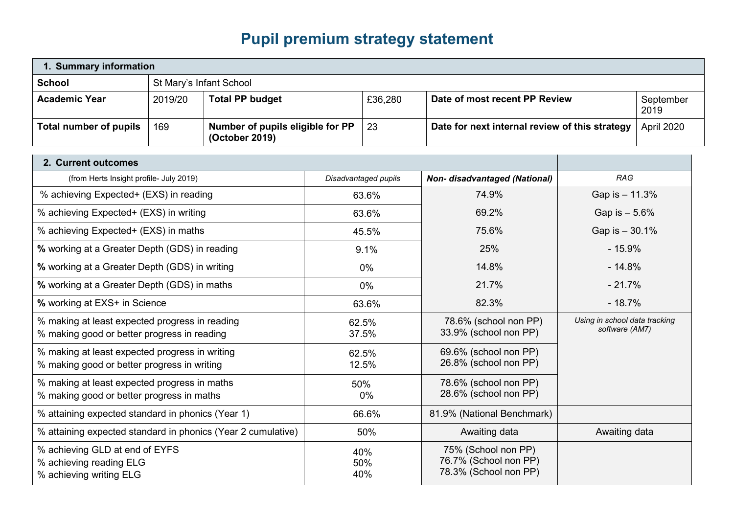## **Pupil premium strategy statement**

| 1. Summary information                                                                        |                         |                                                    |       |                      |                                                                       |                                                 |                   |
|-----------------------------------------------------------------------------------------------|-------------------------|----------------------------------------------------|-------|----------------------|-----------------------------------------------------------------------|-------------------------------------------------|-------------------|
| <b>School</b>                                                                                 | St Mary's Infant School |                                                    |       |                      |                                                                       |                                                 |                   |
| <b>Academic Year</b>                                                                          | 2019/20                 | <b>Total PP budget</b>                             |       | £36,280              | Date of most recent PP Review                                         |                                                 | September<br>2019 |
| <b>Total number of pupils</b>                                                                 | 169                     | Number of pupils eligible for PP<br>(October 2019) |       | 23                   | Date for next internal review of this strategy                        | April 2020                                      |                   |
| 2. Current outcomes                                                                           |                         |                                                    |       |                      |                                                                       |                                                 |                   |
| (from Herts Insight profile- July 2019)                                                       |                         |                                                    |       | Disadvantaged pupils | <b>Non- disadvantaged (National)</b>                                  | <b>RAG</b>                                      |                   |
| % achieving Expected+ (EXS) in reading                                                        |                         |                                                    |       | 63.6%                | 74.9%                                                                 | Gap is - 11.3%                                  |                   |
| % achieving Expected+ (EXS) in writing                                                        |                         |                                                    |       | 63.6%                | 69.2%                                                                 | Gap is - 5.6%                                   |                   |
| % achieving Expected+ (EXS) in maths                                                          |                         |                                                    |       | 45.5%                | 75.6%                                                                 | Gap is - 30.1%                                  |                   |
| % working at a Greater Depth (GDS) in reading                                                 |                         |                                                    | 9.1%  |                      | 25%                                                                   | $-15.9%$                                        |                   |
| % working at a Greater Depth (GDS) in writing                                                 |                         | 0%                                                 |       | 14.8%                | $-14.8%$                                                              |                                                 |                   |
| % working at a Greater Depth (GDS) in maths                                                   |                         |                                                    | 0%    |                      | 21.7%                                                                 | $-21.7%$                                        |                   |
| % working at EXS+ in Science                                                                  |                         |                                                    | 63.6% |                      | 82.3%                                                                 | $-18.7%$                                        |                   |
| % making at least expected progress in reading<br>% making good or better progress in reading |                         |                                                    |       | 62.5%<br>37.5%       | 78.6% (school non PP)<br>33.9% (school non PP)                        | Using in school data tracking<br>software (AM7) |                   |
| % making at least expected progress in writing<br>% making good or better progress in writing |                         |                                                    |       | 62.5%<br>12.5%       | 69.6% (school non PP)<br>26.8% (school non PP)                        |                                                 |                   |
| % making at least expected progress in maths<br>% making good or better progress in maths     |                         |                                                    |       | 50%<br>$0\%$         | 78.6% (school non PP)<br>28.6% (school non PP)                        |                                                 |                   |
| % attaining expected standard in phonics (Year 1)                                             |                         |                                                    |       | 66.6%                | 81.9% (National Benchmark)                                            |                                                 |                   |
| % attaining expected standard in phonics (Year 2 cumulative)                                  |                         |                                                    | 50%   |                      | Awaiting data                                                         | Awaiting data                                   |                   |
| % achieving GLD at end of EYFS<br>% achieving reading ELG<br>% achieving writing ELG          |                         |                                                    |       | 40%<br>50%<br>40%    | 75% (School non PP)<br>76.7% (School non PP)<br>78.3% (School non PP) |                                                 |                   |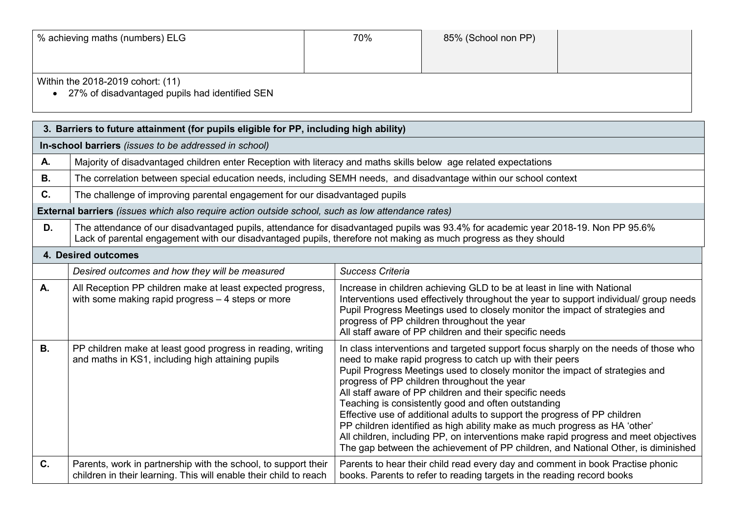| % achieving maths (numbers) ELG                                                                  | 70% | 85% (School non PP) |  |
|--------------------------------------------------------------------------------------------------|-----|---------------------|--|
|                                                                                                  |     |                     |  |
| Within the 2018-2019 cohort: (11)<br>27% of disadvantaged pupils had identified SEN<br>$\bullet$ |     |                     |  |

| 3. Barriers to future attainment (for pupils eligible for PP, including high ability) |                                                                                                                                     |                                                                                                                                                                                                                                                                                                                                                                                                                                                                                                                                                                                                                                                                                                                                          |  |  |
|---------------------------------------------------------------------------------------|-------------------------------------------------------------------------------------------------------------------------------------|------------------------------------------------------------------------------------------------------------------------------------------------------------------------------------------------------------------------------------------------------------------------------------------------------------------------------------------------------------------------------------------------------------------------------------------------------------------------------------------------------------------------------------------------------------------------------------------------------------------------------------------------------------------------------------------------------------------------------------------|--|--|
|                                                                                       | In-school barriers (issues to be addressed in school)                                                                               |                                                                                                                                                                                                                                                                                                                                                                                                                                                                                                                                                                                                                                                                                                                                          |  |  |
| Α.                                                                                    | Majority of disadvantaged children enter Reception with literacy and maths skills below age related expectations                    |                                                                                                                                                                                                                                                                                                                                                                                                                                                                                                                                                                                                                                                                                                                                          |  |  |
| <b>B.</b>                                                                             | The correlation between special education needs, including SEMH needs, and disadvantage within our school context                   |                                                                                                                                                                                                                                                                                                                                                                                                                                                                                                                                                                                                                                                                                                                                          |  |  |
| C.                                                                                    | The challenge of improving parental engagement for our disadvantaged pupils                                                         |                                                                                                                                                                                                                                                                                                                                                                                                                                                                                                                                                                                                                                                                                                                                          |  |  |
|                                                                                       | External barriers (issues which also require action outside school, such as low attendance rates)                                   |                                                                                                                                                                                                                                                                                                                                                                                                                                                                                                                                                                                                                                                                                                                                          |  |  |
| D.                                                                                    | Lack of parental engagement with our disadvantaged pupils, therefore not making as much progress as they should                     | The attendance of our disadvantaged pupils, attendance for disadvantaged pupils was 93.4% for academic year 2018-19. Non PP 95.6%                                                                                                                                                                                                                                                                                                                                                                                                                                                                                                                                                                                                        |  |  |
|                                                                                       | 4. Desired outcomes                                                                                                                 |                                                                                                                                                                                                                                                                                                                                                                                                                                                                                                                                                                                                                                                                                                                                          |  |  |
|                                                                                       | Desired outcomes and how they will be measured                                                                                      | <b>Success Criteria</b>                                                                                                                                                                                                                                                                                                                                                                                                                                                                                                                                                                                                                                                                                                                  |  |  |
| А.                                                                                    | All Reception PP children make at least expected progress,<br>with some making rapid progress $-4$ steps or more                    | Increase in children achieving GLD to be at least in line with National<br>Interventions used effectively throughout the year to support individual/ group needs<br>Pupil Progress Meetings used to closely monitor the impact of strategies and<br>progress of PP children throughout the year<br>All staff aware of PP children and their specific needs                                                                                                                                                                                                                                                                                                                                                                               |  |  |
| <b>B.</b>                                                                             | PP children make at least good progress in reading, writing<br>and maths in KS1, including high attaining pupils                    | In class interventions and targeted support focus sharply on the needs of those who<br>need to make rapid progress to catch up with their peers<br>Pupil Progress Meetings used to closely monitor the impact of strategies and<br>progress of PP children throughout the year<br>All staff aware of PP children and their specific needs<br>Teaching is consistently good and often outstanding<br>Effective use of additional adults to support the progress of PP children<br>PP children identified as high ability make as much progress as HA 'other'<br>All children, including PP, on interventions make rapid progress and meet objectives<br>The gap between the achievement of PP children, and National Other, is diminished |  |  |
| C.                                                                                    | Parents, work in partnership with the school, to support their<br>children in their learning. This will enable their child to reach | Parents to hear their child read every day and comment in book Practise phonic<br>books. Parents to refer to reading targets in the reading record books                                                                                                                                                                                                                                                                                                                                                                                                                                                                                                                                                                                 |  |  |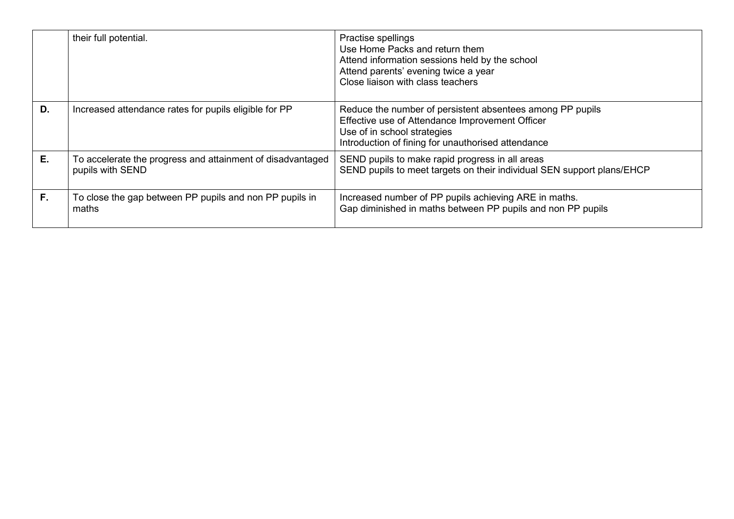|    | their full potential.                                                          | Practise spellings<br>Use Home Packs and return them<br>Attend information sessions held by the school<br>Attend parents' evening twice a year<br>Close liaison with class teachers               |
|----|--------------------------------------------------------------------------------|---------------------------------------------------------------------------------------------------------------------------------------------------------------------------------------------------|
| D. | Increased attendance rates for pupils eligible for PP                          | Reduce the number of persistent absentees among PP pupils<br>Effective use of Attendance Improvement Officer<br>Use of in school strategies<br>Introduction of fining for unauthorised attendance |
| Е. | To accelerate the progress and attainment of disadvantaged<br>pupils with SEND | SEND pupils to make rapid progress in all areas<br>SEND pupils to meet targets on their individual SEN support plans/EHCP                                                                         |
| F. | To close the gap between PP pupils and non PP pupils in<br>maths               | Increased number of PP pupils achieving ARE in maths.<br>Gap diminished in maths between PP pupils and non PP pupils                                                                              |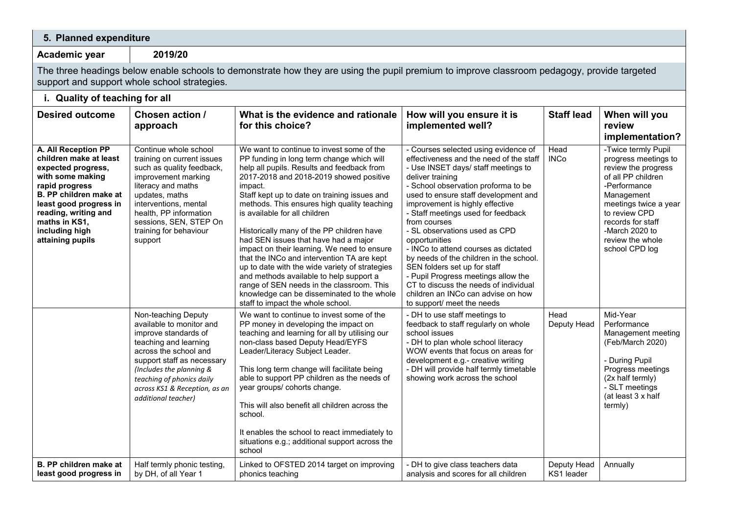| 5. Planned expenditure                                                                                                                                                                                                                              |                                                                                                                                                                                                                                                                          |                                                                                                                                                                                                                                                                                                                                                                                                                                                                                                                                                                                                                                                                                                                                           |                                                                                                                                                                                                                                                                                                                                                                                                                                                                                                                                                                                                                                             |                           |                                                                                                                                                                                                                                               |
|-----------------------------------------------------------------------------------------------------------------------------------------------------------------------------------------------------------------------------------------------------|--------------------------------------------------------------------------------------------------------------------------------------------------------------------------------------------------------------------------------------------------------------------------|-------------------------------------------------------------------------------------------------------------------------------------------------------------------------------------------------------------------------------------------------------------------------------------------------------------------------------------------------------------------------------------------------------------------------------------------------------------------------------------------------------------------------------------------------------------------------------------------------------------------------------------------------------------------------------------------------------------------------------------------|---------------------------------------------------------------------------------------------------------------------------------------------------------------------------------------------------------------------------------------------------------------------------------------------------------------------------------------------------------------------------------------------------------------------------------------------------------------------------------------------------------------------------------------------------------------------------------------------------------------------------------------------|---------------------------|-----------------------------------------------------------------------------------------------------------------------------------------------------------------------------------------------------------------------------------------------|
| Academic year                                                                                                                                                                                                                                       | 2019/20                                                                                                                                                                                                                                                                  |                                                                                                                                                                                                                                                                                                                                                                                                                                                                                                                                                                                                                                                                                                                                           |                                                                                                                                                                                                                                                                                                                                                                                                                                                                                                                                                                                                                                             |                           |                                                                                                                                                                                                                                               |
|                                                                                                                                                                                                                                                     | support and support whole school strategies.                                                                                                                                                                                                                             | The three headings below enable schools to demonstrate how they are using the pupil premium to improve classroom pedagogy, provide targeted                                                                                                                                                                                                                                                                                                                                                                                                                                                                                                                                                                                               |                                                                                                                                                                                                                                                                                                                                                                                                                                                                                                                                                                                                                                             |                           |                                                                                                                                                                                                                                               |
| i. Quality of teaching for all                                                                                                                                                                                                                      |                                                                                                                                                                                                                                                                          |                                                                                                                                                                                                                                                                                                                                                                                                                                                                                                                                                                                                                                                                                                                                           |                                                                                                                                                                                                                                                                                                                                                                                                                                                                                                                                                                                                                                             |                           |                                                                                                                                                                                                                                               |
| <b>Desired outcome</b>                                                                                                                                                                                                                              | Chosen action /<br>approach                                                                                                                                                                                                                                              | What is the evidence and rationale<br>for this choice?                                                                                                                                                                                                                                                                                                                                                                                                                                                                                                                                                                                                                                                                                    | How will you ensure it is<br>implemented well?                                                                                                                                                                                                                                                                                                                                                                                                                                                                                                                                                                                              | <b>Staff lead</b>         | When will you<br>review<br>implementation?                                                                                                                                                                                                    |
| <b>A. All Reception PP</b><br>children make at least<br>expected progress,<br>with some making<br>rapid progress<br>B. PP children make at<br>least good progress in<br>reading, writing and<br>maths in KS1,<br>including high<br>attaining pupils | Continue whole school<br>training on current issues<br>such as quality feedback,<br>improvement marking<br>literacy and maths<br>updates, maths<br>interventions, mental<br>health, PP information<br>sessions, SEN, STEP On<br>training for behaviour<br>support        | We want to continue to invest some of the<br>PP funding in long term change which will<br>help all pupils. Results and feedback from<br>2017-2018 and 2018-2019 showed positive<br>impact.<br>Staff kept up to date on training issues and<br>methods. This ensures high quality teaching<br>is available for all children<br>Historically many of the PP children have<br>had SEN issues that have had a major<br>impact on their learning. We need to ensure<br>that the INCo and intervention TA are kept<br>up to date with the wide variety of strategies<br>and methods available to help support a<br>range of SEN needs in the classroom. This<br>knowledge can be disseminated to the whole<br>staff to impact the whole school. | - Courses selected using evidence of<br>effectiveness and the need of the staff<br>- Use INSET days/ staff meetings to<br>deliver training<br>- School observation proforma to be<br>used to ensure staff development and<br>improvement is highly effective<br>- Staff meetings used for feedback<br>from courses<br>- SL observations used as CPD<br>opportunities<br>- INCo to attend courses as dictated<br>by needs of the children in the school.<br>SEN folders set up for staff<br>- Pupil Progress meetings allow the<br>CT to discuss the needs of individual<br>children an INCo can advise on how<br>to support/ meet the needs | Head<br><b>INCo</b>       | -Twice termly Pupil<br>progress meetings to<br>review the progress<br>of all PP children<br>-Performance<br>Management<br>meetings twice a year<br>to review CPD<br>records for staff<br>-March 2020 to<br>review the whole<br>school CPD log |
|                                                                                                                                                                                                                                                     | Non-teaching Deputy<br>available to monitor and<br>improve standards of<br>teaching and learning<br>across the school and<br>support staff as necessary<br>(Includes the planning &<br>teaching of phonics daily<br>across KS1 & Reception, as an<br>additional teacher) | We want to continue to invest some of the<br>PP money in developing the impact on<br>teaching and learning for all by utilising our<br>non-class based Deputy Head/EYFS<br>Leader/Literacy Subject Leader.<br>This long term change will facilitate being<br>able to support PP children as the needs of<br>year groups/ cohorts change.<br>This will also benefit all children across the<br>school.<br>It enables the school to react immediately to<br>situations e.g.; additional support across the<br>school                                                                                                                                                                                                                        | - DH to use staff meetings to<br>feedback to staff regularly on whole<br>school issues<br>- DH to plan whole school literacy<br>WOW events that focus on areas for<br>development e.g.- creative writing<br>- DH will provide half termly timetable<br>showing work across the school                                                                                                                                                                                                                                                                                                                                                       | Head<br>Deputy Head       | Mid-Year<br>Performance<br>Management meeting<br>(Feb/March 2020)<br>- During Pupil<br>Progress meetings<br>(2x half termly)<br>- SLT meetings<br>(at least 3 x half<br>termly)                                                               |
| B. PP children make at<br>least good progress in                                                                                                                                                                                                    | Half termly phonic testing,<br>by DH, of all Year 1                                                                                                                                                                                                                      | Linked to OFSTED 2014 target on improving<br>phonics teaching                                                                                                                                                                                                                                                                                                                                                                                                                                                                                                                                                                                                                                                                             | - DH to give class teachers data<br>analysis and scores for all children                                                                                                                                                                                                                                                                                                                                                                                                                                                                                                                                                                    | Deputy Head<br>KS1 leader | Annually                                                                                                                                                                                                                                      |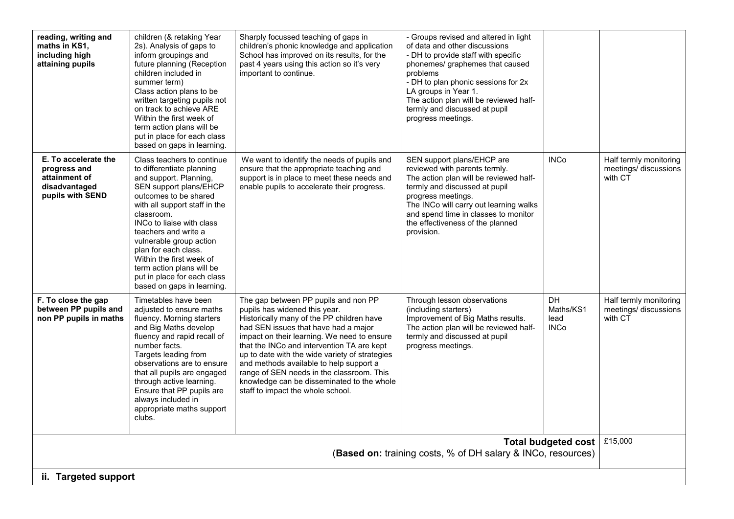| reading, writing and<br>maths in KS1,<br>including high<br>attaining pupils                    | children (& retaking Year<br>2s). Analysis of gaps to<br>inform groupings and<br>future planning (Reception<br>children included in<br>summer term)<br>Class action plans to be<br>written targeting pupils not<br>on track to achieve ARE<br>Within the first week of<br>term action plans will be<br>put in place for each class<br>based on gaps in learning.                                                  | Sharply focussed teaching of gaps in<br>children's phonic knowledge and application<br>School has improved on its results, for the<br>past 4 years using this action so it's very<br>important to continue.                                                                                                                                                                                                                                                                          | - Groups revised and altered in light<br>of data and other discussions<br>- DH to provide staff with specific<br>phonemes/ graphemes that caused<br>problems<br>- DH to plan phonic sessions for 2x<br>LA groups in Year 1.<br>The action plan will be reviewed half-<br>termly and discussed at pupil<br>progress meetings. |                                               |                                                            |  |
|------------------------------------------------------------------------------------------------|-------------------------------------------------------------------------------------------------------------------------------------------------------------------------------------------------------------------------------------------------------------------------------------------------------------------------------------------------------------------------------------------------------------------|--------------------------------------------------------------------------------------------------------------------------------------------------------------------------------------------------------------------------------------------------------------------------------------------------------------------------------------------------------------------------------------------------------------------------------------------------------------------------------------|------------------------------------------------------------------------------------------------------------------------------------------------------------------------------------------------------------------------------------------------------------------------------------------------------------------------------|-----------------------------------------------|------------------------------------------------------------|--|
| E. To accelerate the<br>progress and<br>attainment of<br>disadvantaged<br>pupils with SEND     | Class teachers to continue<br>to differentiate planning<br>and support. Planning,<br>SEN support plans/EHCP<br>outcomes to be shared<br>with all support staff in the<br>classroom.<br>INCo to liaise with class<br>teachers and write a<br>vulnerable group action<br>plan for each class.<br>Within the first week of<br>term action plans will be<br>put in place for each class<br>based on gaps in learning. | We want to identify the needs of pupils and<br>ensure that the appropriate teaching and<br>support is in place to meet these needs and<br>enable pupils to accelerate their progress.                                                                                                                                                                                                                                                                                                | SEN support plans/EHCP are<br>reviewed with parents termly.<br>The action plan will be reviewed half-<br>termly and discussed at pupil<br>progress meetings.<br>The INCo will carry out learning walks<br>and spend time in classes to monitor<br>the effectiveness of the planned<br>provision.                             | <b>INCo</b>                                   | Half termly monitoring<br>meetings/discussions<br>with CT  |  |
| F. To close the gap<br>between PP pupils and<br>non PP pupils in maths                         | Timetables have been<br>adjusted to ensure maths<br>fluency. Morning starters<br>and Big Maths develop<br>fluency and rapid recall of<br>number facts.<br>Targets leading from<br>observations are to ensure<br>that all pupils are engaged<br>through active learning.<br>Ensure that PP pupils are<br>always included in<br>appropriate maths support<br>clubs.                                                 | The gap between PP pupils and non PP<br>pupils has widened this year.<br>Historically many of the PP children have<br>had SEN issues that have had a major<br>impact on their learning. We need to ensure<br>that the INCo and intervention TA are kept<br>up to date with the wide variety of strategies<br>and methods available to help support a<br>range of SEN needs in the classroom. This<br>knowledge can be disseminated to the whole<br>staff to impact the whole school. | Through lesson observations<br>(including starters)<br>Improvement of Big Maths results.<br>The action plan will be reviewed half-<br>termly and discussed at pupil<br>progress meetings.                                                                                                                                    | <b>DH</b><br>Maths/KS1<br>lead<br><b>INCo</b> | Half termly monitoring<br>meetings/ discussions<br>with CT |  |
| £15,000<br>Total budgeted cost<br>(Based on: training costs, % of DH salary & INCo, resources) |                                                                                                                                                                                                                                                                                                                                                                                                                   |                                                                                                                                                                                                                                                                                                                                                                                                                                                                                      |                                                                                                                                                                                                                                                                                                                              |                                               |                                                            |  |
| ii. Targeted support                                                                           |                                                                                                                                                                                                                                                                                                                                                                                                                   |                                                                                                                                                                                                                                                                                                                                                                                                                                                                                      |                                                                                                                                                                                                                                                                                                                              |                                               |                                                            |  |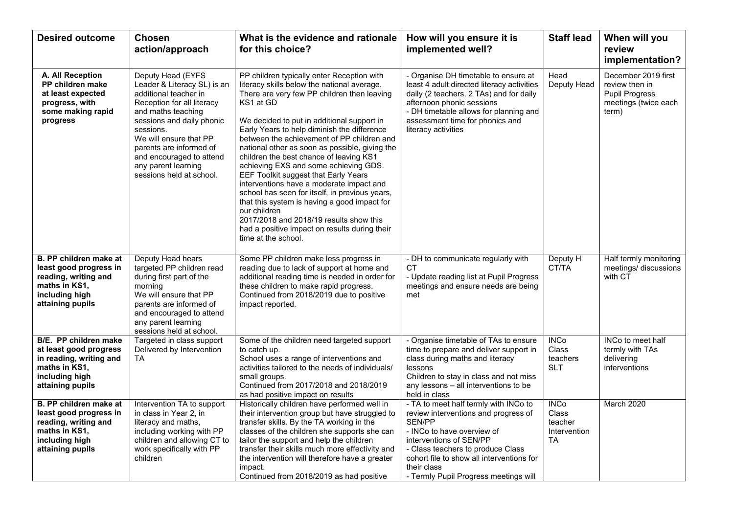| <b>Desired outcome</b>                                                                                                                   | <b>Chosen</b><br>action/approach                                                                                                                                                                                                                                                                            | What is the evidence and rationale<br>for this choice?                                                                                                                                                                                                                                                                                                                                                                                                                                                                                                                                                                                                                                                                                                          | How will you ensure it is<br>implemented well?                                                                                                                                                                                                                                                    | <b>Staff lead</b>                                     | When will you<br>review<br>implementation?                                                      |
|------------------------------------------------------------------------------------------------------------------------------------------|-------------------------------------------------------------------------------------------------------------------------------------------------------------------------------------------------------------------------------------------------------------------------------------------------------------|-----------------------------------------------------------------------------------------------------------------------------------------------------------------------------------------------------------------------------------------------------------------------------------------------------------------------------------------------------------------------------------------------------------------------------------------------------------------------------------------------------------------------------------------------------------------------------------------------------------------------------------------------------------------------------------------------------------------------------------------------------------------|---------------------------------------------------------------------------------------------------------------------------------------------------------------------------------------------------------------------------------------------------------------------------------------------------|-------------------------------------------------------|-------------------------------------------------------------------------------------------------|
| A. All Reception<br>PP children make<br>at least expected<br>progress, with<br>some making rapid<br>progress                             | Deputy Head (EYFS<br>Leader & Literacy SL) is an<br>additional teacher in<br>Reception for all literacy<br>and maths teaching<br>sessions and daily phonic<br>sessions.<br>We will ensure that PP<br>parents are informed of<br>and encouraged to attend<br>any parent learning<br>sessions held at school. | PP children typically enter Reception with<br>literacy skills below the national average.<br>There are very few PP children then leaving<br>KS1 at GD<br>We decided to put in additional support in<br>Early Years to help diminish the difference<br>between the achievement of PP children and<br>national other as soon as possible, giving the<br>children the best chance of leaving KS1<br>achieving EXS and some achieving GDS.<br>EEF Toolkit suggest that Early Years<br>interventions have a moderate impact and<br>school has seen for itself, in previous years,<br>that this system is having a good impact for<br>our children<br>2017/2018 and 2018/19 results show this<br>had a positive impact on results during their<br>time at the school. | - Organise DH timetable to ensure at<br>least 4 adult directed literacy activities<br>daily (2 teachers, 2 TAs) and for daily<br>afternoon phonic sessions<br>- DH timetable allows for planning and<br>assessment time for phonics and<br>literacy activities                                    | Head<br>Deputy Head                                   | December 2019 first<br>review then in<br><b>Pupil Progress</b><br>meetings (twice each<br>term) |
| B. PP children make at<br>least good progress in<br>reading, writing and<br>maths in KS1,<br>including high<br>attaining pupils          | Deputy Head hears<br>targeted PP children read<br>during first part of the<br>morning<br>We will ensure that PP<br>parents are informed of<br>and encouraged to attend<br>any parent learning<br>sessions held at school.                                                                                   | Some PP children make less progress in<br>reading due to lack of support at home and<br>additional reading time is needed in order for<br>these children to make rapid progress.<br>Continued from 2018/2019 due to positive<br>impact reported.                                                                                                                                                                                                                                                                                                                                                                                                                                                                                                                | - DH to communicate regularly with<br>СT<br>- Update reading list at Pupil Progress<br>meetings and ensure needs are being<br>met                                                                                                                                                                 | Deputy H<br>CT/TA                                     | Half termly monitoring<br>meetings/ discussions<br>with CT                                      |
| <b>B/E. PP children make</b><br>at least good progress<br>in reading, writing and<br>maths in KS1,<br>including high<br>attaining pupils | Targeted in class support<br>Delivered by Intervention<br><b>TA</b>                                                                                                                                                                                                                                         | Some of the children need targeted support<br>to catch up.<br>School uses a range of interventions and<br>activities tailored to the needs of individuals/<br>small groups.<br>Continued from 2017/2018 and 2018/2019<br>as had positive impact on results                                                                                                                                                                                                                                                                                                                                                                                                                                                                                                      | - Organise timetable of TAs to ensure<br>time to prepare and deliver support in<br>class during maths and literacy<br>lessons<br>Children to stay in class and not miss<br>any lessons - all interventions to be<br>held in class                                                                 | <b>INCo</b><br>Class<br>teachers<br><b>SLT</b>        | <b>INCo to meet half</b><br>termly with TAs<br>delivering<br>interventions                      |
| B. PP children make at<br>least good progress in<br>reading, writing and<br>maths in KS1,<br>including high<br>attaining pupils          | Intervention TA to support<br>in class in Year 2, in<br>literacy and maths,<br>including working with PP<br>children and allowing CT to<br>work specifically with PP<br>children                                                                                                                            | Historically children have performed well in<br>their intervention group but have struggled to<br>transfer skills. By the TA working in the<br>classes of the children she supports she can<br>tailor the support and help the children<br>transfer their skills much more effectivity and<br>the intervention will therefore have a greater<br>impact.<br>Continued from 2018/2019 as had positive                                                                                                                                                                                                                                                                                                                                                             | - TA to meet half termly with INCo to<br>review interventions and progress of<br><b>SEN/PP</b><br>- INCo to have overview of<br>interventions of SEN/PP<br>- Class teachers to produce Class<br>cohort file to show all interventions for<br>their class<br>- Termly Pupil Progress meetings will | <b>INCo</b><br>Class<br>teacher<br>Intervention<br>TA | March 2020                                                                                      |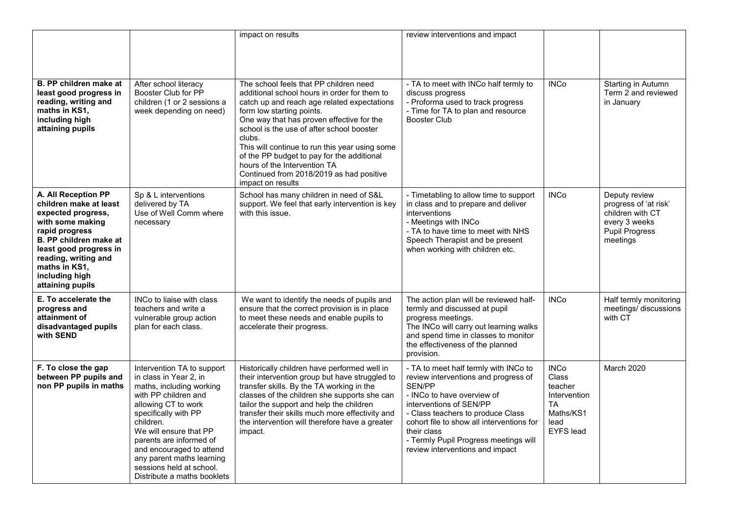|                                                                                                                                                                                                                                              |                                                                                                                                                                                                                                                                                                                                               | impact on results                                                                                                                                                                                                                                                                                                                                                                                                                                                       | review interventions and impact                                                                                                                                                                                                                                                                                                      |                                                                                                              |                                                                                                                  |
|----------------------------------------------------------------------------------------------------------------------------------------------------------------------------------------------------------------------------------------------|-----------------------------------------------------------------------------------------------------------------------------------------------------------------------------------------------------------------------------------------------------------------------------------------------------------------------------------------------|-------------------------------------------------------------------------------------------------------------------------------------------------------------------------------------------------------------------------------------------------------------------------------------------------------------------------------------------------------------------------------------------------------------------------------------------------------------------------|--------------------------------------------------------------------------------------------------------------------------------------------------------------------------------------------------------------------------------------------------------------------------------------------------------------------------------------|--------------------------------------------------------------------------------------------------------------|------------------------------------------------------------------------------------------------------------------|
|                                                                                                                                                                                                                                              |                                                                                                                                                                                                                                                                                                                                               |                                                                                                                                                                                                                                                                                                                                                                                                                                                                         |                                                                                                                                                                                                                                                                                                                                      |                                                                                                              |                                                                                                                  |
| B. PP children make at<br>least good progress in<br>reading, writing and<br>maths in KS1,<br>including high<br>attaining pupils                                                                                                              | After school literacy<br>Booster Club for PP<br>children (1 or 2 sessions a<br>week depending on need)                                                                                                                                                                                                                                        | The school feels that PP children need<br>additional school hours in order for them to<br>catch up and reach age related expectations<br>form low starting points.<br>One way that has proven effective for the<br>school is the use of after school booster<br>clubs.<br>This will continue to run this year using some<br>of the PP budget to pay for the additional<br>hours of the Intervention TA<br>Continued from 2018/2019 as had positive<br>impact on results | - TA to meet with INCo half termly to<br>discuss progress<br>- Proforma used to track progress<br>- Time for TA to plan and resource<br><b>Booster Club</b>                                                                                                                                                                          | <b>INCo</b>                                                                                                  | Starting in Autumn<br>Term 2 and reviewed<br>in January                                                          |
| A. All Reception PP<br>children make at least<br>expected progress,<br>with some making<br>rapid progress<br>B. PP children make at<br>least good progress in<br>reading, writing and<br>maths in KS1,<br>including high<br>attaining pupils | Sp & L interventions<br>delivered by TA<br>Use of Well Comm where<br>necessary                                                                                                                                                                                                                                                                | School has many children in need of S&L<br>support. We feel that early intervention is key<br>with this issue.                                                                                                                                                                                                                                                                                                                                                          | - Timetabling to allow time to support<br>in class and to prepare and deliver<br>interventions<br>- Meetings with INCo<br>- TA to have time to meet with NHS<br>Speech Therapist and be present<br>when working with children etc.                                                                                                   | <b>INCo</b>                                                                                                  | Deputy review<br>progress of 'at risk'<br>children with CT<br>every 3 weeks<br><b>Pupil Progress</b><br>meetings |
| E. To accelerate the<br>progress and<br>attainment of<br>disadvantaged pupils<br>with SEND                                                                                                                                                   | INCo to liaise with class<br>teachers and write a<br>vulnerable group action<br>plan for each class.                                                                                                                                                                                                                                          | We want to identify the needs of pupils and<br>ensure that the correct provision is in place<br>to meet these needs and enable pupils to<br>accelerate their progress.                                                                                                                                                                                                                                                                                                  | The action plan will be reviewed half-<br>termly and discussed at pupil<br>progress meetings.<br>The INCo will carry out learning walks<br>and spend time in classes to monitor<br>the effectiveness of the planned<br>provision.                                                                                                    | <b>INCo</b>                                                                                                  | Half termly monitoring<br>meetings/discussions<br>with CT                                                        |
| F. To close the gap<br>between PP pupils and<br>non PP pupils in maths                                                                                                                                                                       | Intervention TA to support<br>in class in Year 2, in<br>maths, including working<br>with PP children and<br>allowing CT to work<br>specifically with PP<br>children.<br>We will ensure that PP<br>parents are informed of<br>and encouraged to attend<br>any parent maths learning<br>sessions held at school.<br>Distribute a maths booklets | Historically children have performed well in<br>their intervention group but have struggled to<br>transfer skills. By the TA working in the<br>classes of the children she supports she can<br>tailor the support and help the children<br>transfer their skills much more effectivity and<br>the intervention will therefore have a greater<br>impact.                                                                                                                 | - TA to meet half termly with INCo to<br>review interventions and progress of<br><b>SEN/PP</b><br>- INCo to have overview of<br>interventions of SEN/PP<br>- Class teachers to produce Class<br>cohort file to show all interventions for<br>their class<br>- Termly Pupil Progress meetings will<br>review interventions and impact | <b>INCo</b><br><b>Class</b><br>teacher<br>Intervention<br><b>TA</b><br>Maths/KS1<br>lead<br><b>EYFS</b> lead | March 2020                                                                                                       |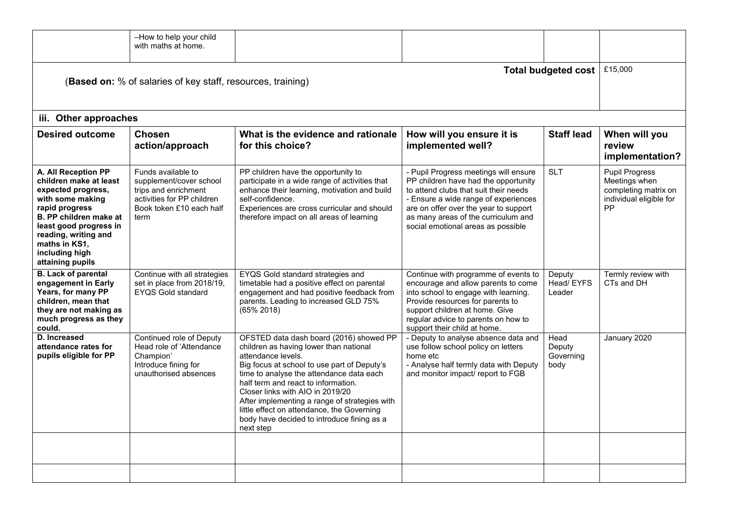|                                                                                                                                                                                                                                              | -How to help your child<br>with maths at home.                                                                                          |                                                                                                                                                                                                                                                                                                                                                                                                                                         |                                                                                                                                                                                                                                                                                      |                                     |                                                                                                        |  |  |  |
|----------------------------------------------------------------------------------------------------------------------------------------------------------------------------------------------------------------------------------------------|-----------------------------------------------------------------------------------------------------------------------------------------|-----------------------------------------------------------------------------------------------------------------------------------------------------------------------------------------------------------------------------------------------------------------------------------------------------------------------------------------------------------------------------------------------------------------------------------------|--------------------------------------------------------------------------------------------------------------------------------------------------------------------------------------------------------------------------------------------------------------------------------------|-------------------------------------|--------------------------------------------------------------------------------------------------------|--|--|--|
|                                                                                                                                                                                                                                              | £15,000<br>Total budgeted cost<br>(Based on: % of salaries of key staff, resources, training)                                           |                                                                                                                                                                                                                                                                                                                                                                                                                                         |                                                                                                                                                                                                                                                                                      |                                     |                                                                                                        |  |  |  |
| iii. Other approaches                                                                                                                                                                                                                        |                                                                                                                                         |                                                                                                                                                                                                                                                                                                                                                                                                                                         |                                                                                                                                                                                                                                                                                      |                                     |                                                                                                        |  |  |  |
| <b>Desired outcome</b>                                                                                                                                                                                                                       | <b>Chosen</b><br>action/approach                                                                                                        | What is the evidence and rationale<br>for this choice?                                                                                                                                                                                                                                                                                                                                                                                  | How will you ensure it is<br>implemented well?                                                                                                                                                                                                                                       | <b>Staff lead</b>                   | When will you<br>review<br>implementation?                                                             |  |  |  |
| A. All Reception PP<br>children make at least<br>expected progress,<br>with some making<br>rapid progress<br>B. PP children make at<br>least good progress in<br>reading, writing and<br>maths in KS1,<br>including high<br>attaining pupils | Funds available to<br>supplement/cover school<br>trips and enrichment<br>activities for PP children<br>Book token £10 each half<br>term | PP children have the opportunity to<br>participate in a wide range of activities that<br>enhance their learning, motivation and build<br>self-confidence.<br>Experiences are cross curricular and should<br>therefore impact on all areas of learning                                                                                                                                                                                   | - Pupil Progress meetings will ensure<br>PP children have had the opportunity<br>to attend clubs that suit their needs<br>- Ensure a wide range of experiences<br>are on offer over the year to support<br>as many areas of the curriculum and<br>social emotional areas as possible | <b>SLT</b>                          | <b>Pupil Progress</b><br>Meetings when<br>completing matrix on<br>individual eligible for<br><b>PP</b> |  |  |  |
| <b>B.</b> Lack of parental<br>engagement in Early<br>Years, for many PP<br>children, mean that<br>they are not making as<br>much progress as they<br>could.                                                                                  | Continue with all strategies<br>set in place from 2018/19,<br><b>EYOS Gold standard</b>                                                 | EYQS Gold standard strategies and<br>timetable had a positive effect on parental<br>engagement and had positive feedback from<br>parents. Leading to increased GLD 75%<br>$(65\% 2018)$                                                                                                                                                                                                                                                 | Continue with programme of events to<br>encourage and allow parents to come<br>into school to engage with learning.<br>Provide resources for parents to<br>support children at home. Give<br>regular advice to parents on how to<br>support their child at home.                     | Deputy<br>Head/EYFS<br>Leader       | Termly review with<br>CTs and DH                                                                       |  |  |  |
| D. Increased<br>attendance rates for<br>pupils eligible for PP                                                                                                                                                                               | Continued role of Deputy<br>Head role of 'Attendance<br>Champion'<br>Introduce fining for<br>unauthorised absences                      | OFSTED data dash board (2016) showed PP<br>children as having lower than national<br>attendance levels.<br>Big focus at school to use part of Deputy's<br>time to analyse the attendance data each<br>half term and react to information.<br>Closer links with AIO in 2019/20<br>After implementing a range of strategies with<br>little effect on attendance, the Governing<br>body have decided to introduce fining as a<br>next step | - Deputy to analyse absence data and<br>use follow school policy on letters<br>home etc<br>- Analyse half termly data with Deputy<br>and monitor impact/ report to FGB                                                                                                               | Head<br>Deputy<br>Governing<br>body | January 2020                                                                                           |  |  |  |
|                                                                                                                                                                                                                                              |                                                                                                                                         |                                                                                                                                                                                                                                                                                                                                                                                                                                         |                                                                                                                                                                                                                                                                                      |                                     |                                                                                                        |  |  |  |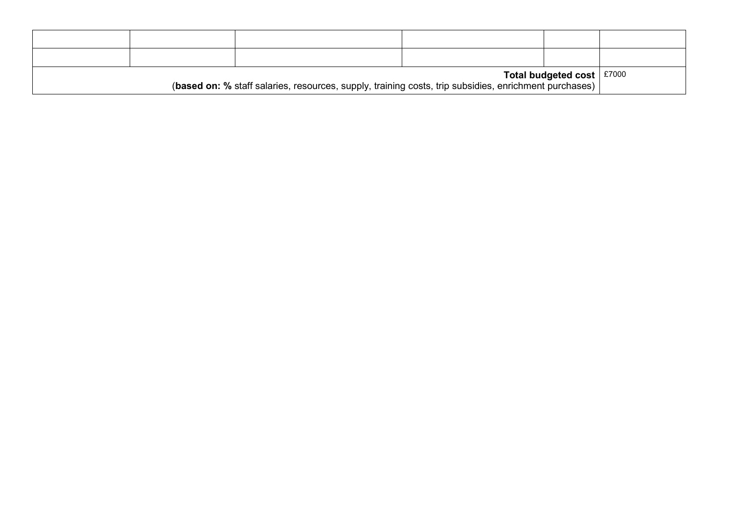| Total budgeted cost $\vert$ £7000<br>(based on: % staff salaries, resources, supply, training costs, trip subsidies, enrichment purchases) |  |  |  |  |  |  |
|--------------------------------------------------------------------------------------------------------------------------------------------|--|--|--|--|--|--|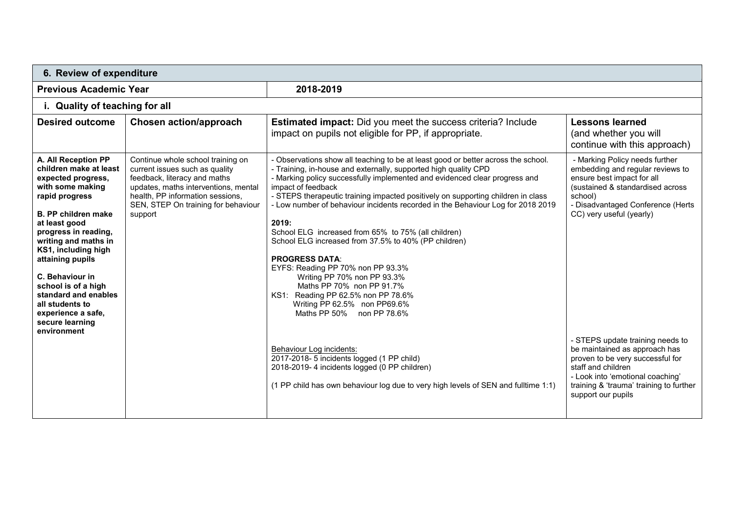|                                                                                                                                                                                                                                                                                                                                                                                                  | 6. Review of expenditure                                                                                                                                                                                                          |                                                                                                                                                                                                                                                                                                                                                                                                                                                                                                                                                                                                                                                                                                                                                                                                                                                                                                                                                                                                       |                                                                                                                                                                                                                                                                                                                                                                                                                                                      |  |  |  |  |  |
|--------------------------------------------------------------------------------------------------------------------------------------------------------------------------------------------------------------------------------------------------------------------------------------------------------------------------------------------------------------------------------------------------|-----------------------------------------------------------------------------------------------------------------------------------------------------------------------------------------------------------------------------------|-------------------------------------------------------------------------------------------------------------------------------------------------------------------------------------------------------------------------------------------------------------------------------------------------------------------------------------------------------------------------------------------------------------------------------------------------------------------------------------------------------------------------------------------------------------------------------------------------------------------------------------------------------------------------------------------------------------------------------------------------------------------------------------------------------------------------------------------------------------------------------------------------------------------------------------------------------------------------------------------------------|------------------------------------------------------------------------------------------------------------------------------------------------------------------------------------------------------------------------------------------------------------------------------------------------------------------------------------------------------------------------------------------------------------------------------------------------------|--|--|--|--|--|
| <b>Previous Academic Year</b>                                                                                                                                                                                                                                                                                                                                                                    |                                                                                                                                                                                                                                   | 2018-2019                                                                                                                                                                                                                                                                                                                                                                                                                                                                                                                                                                                                                                                                                                                                                                                                                                                                                                                                                                                             |                                                                                                                                                                                                                                                                                                                                                                                                                                                      |  |  |  |  |  |
| i. Quality of teaching for all                                                                                                                                                                                                                                                                                                                                                                   |                                                                                                                                                                                                                                   |                                                                                                                                                                                                                                                                                                                                                                                                                                                                                                                                                                                                                                                                                                                                                                                                                                                                                                                                                                                                       |                                                                                                                                                                                                                                                                                                                                                                                                                                                      |  |  |  |  |  |
| <b>Desired outcome</b>                                                                                                                                                                                                                                                                                                                                                                           | Chosen action/approach                                                                                                                                                                                                            | <b>Estimated impact:</b> Did you meet the success criteria? Include<br>impact on pupils not eligible for PP, if appropriate.                                                                                                                                                                                                                                                                                                                                                                                                                                                                                                                                                                                                                                                                                                                                                                                                                                                                          | <b>Lessons learned</b><br>(and whether you will<br>continue with this approach)                                                                                                                                                                                                                                                                                                                                                                      |  |  |  |  |  |
| A. All Reception PP<br>children make at least<br>expected progress,<br>with some making<br>rapid progress<br><b>B. PP children make</b><br>at least good<br>progress in reading,<br>writing and maths in<br>KS1, including high<br>attaining pupils<br>C. Behaviour in<br>school is of a high<br>standard and enables<br>all students to<br>experience a safe,<br>secure learning<br>environment | Continue whole school training on<br>current issues such as quality<br>feedback, literacy and maths<br>updates, maths interventions, mental<br>health, PP information sessions,<br>SEN, STEP On training for behaviour<br>support | - Observations show all teaching to be at least good or better across the school.<br>- Training, in-house and externally, supported high quality CPD<br>- Marking policy successfully implemented and evidenced clear progress and<br>impact of feedback<br>- STEPS therapeutic training impacted positively on supporting children in class<br>- Low number of behaviour incidents recorded in the Behaviour Log for 2018 2019<br>2019:<br>School ELG increased from 65% to 75% (all children)<br>School ELG increased from 37.5% to 40% (PP children)<br><b>PROGRESS DATA:</b><br>EYFS: Reading PP 70% non PP 93.3%<br>Writing PP 70% non PP 93.3%<br>Maths PP 70% non PP 91.7%<br>KS1: Reading PP 62.5% non PP 78.6%<br>Writing PP 62.5% non PP69.6%<br>Maths PP 50% non PP 78.6%<br>Behaviour Log incidents:<br>2017-2018- 5 incidents logged (1 PP child)<br>2018-2019- 4 incidents logged (0 PP children)<br>(1 PP child has own behaviour log due to very high levels of SEN and fulltime 1:1) | - Marking Policy needs further<br>embedding and regular reviews to<br>ensure best impact for all<br>(sustained & standardised across<br>school)<br>- Disadvantaged Conference (Herts<br>CC) very useful (yearly)<br>- STEPS update training needs to<br>be maintained as approach has<br>proven to be very successful for<br>staff and children<br>- Look into 'emotional coaching'<br>training & 'trauma' training to further<br>support our pupils |  |  |  |  |  |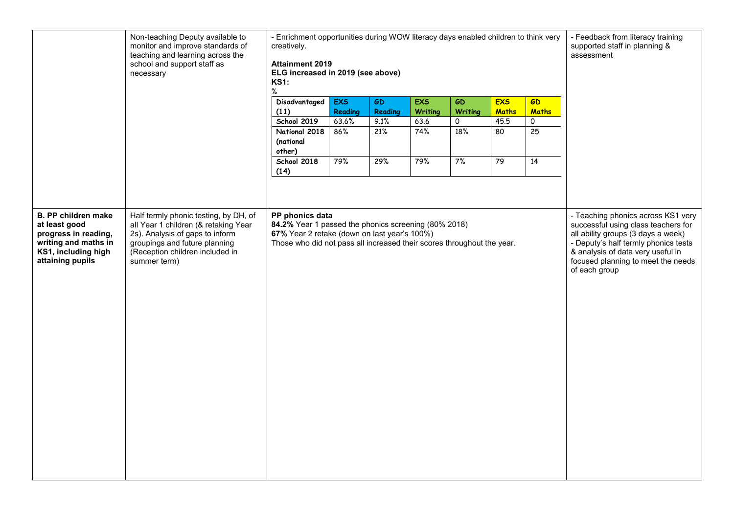|                                                                                                                                        | Non-teaching Deputy available to<br>monitor and improve standards of<br>teaching and learning across the<br>school and support staff as<br>necessary                                                 | - Enrichment opportunities during WOW literacy days enabled children to think very<br>creatively.<br><b>Attainment 2019</b><br>ELG increased in 2019 (see above)<br><b>KS1:</b><br>$\%$           |              |             |             |                |                 | - Feedback from literacy training<br>supported staff in planning &<br>assessment |                                                                                                                                                                                                                                                     |
|----------------------------------------------------------------------------------------------------------------------------------------|------------------------------------------------------------------------------------------------------------------------------------------------------------------------------------------------------|---------------------------------------------------------------------------------------------------------------------------------------------------------------------------------------------------|--------------|-------------|-------------|----------------|-----------------|----------------------------------------------------------------------------------|-----------------------------------------------------------------------------------------------------------------------------------------------------------------------------------------------------------------------------------------------------|
|                                                                                                                                        |                                                                                                                                                                                                      | <b>Disadvantaged</b>                                                                                                                                                                              | <b>EXS</b>   | GD          | <b>EXS</b>  | <b>GD</b>      | <b>EXS</b>      | <b>GD</b>                                                                        |                                                                                                                                                                                                                                                     |
|                                                                                                                                        |                                                                                                                                                                                                      | (11)                                                                                                                                                                                              | Reading      | Reading     | Writing     | <b>Writing</b> | <b>Maths</b>    | <b>Maths</b>                                                                     |                                                                                                                                                                                                                                                     |
|                                                                                                                                        |                                                                                                                                                                                                      | <b>School 2019</b><br>National 2018                                                                                                                                                               | 63.6%<br>86% | 9.1%<br>21% | 63.6<br>74% | 0<br>18%       | 45.5<br>80      | 0<br>25                                                                          |                                                                                                                                                                                                                                                     |
|                                                                                                                                        |                                                                                                                                                                                                      | (national<br>other)                                                                                                                                                                               |              |             |             |                |                 |                                                                                  |                                                                                                                                                                                                                                                     |
|                                                                                                                                        |                                                                                                                                                                                                      | School 2018<br>(14)                                                                                                                                                                               | 79%          | 29%         | 79%         | 7%             | $\overline{79}$ | $\overline{14}$                                                                  |                                                                                                                                                                                                                                                     |
|                                                                                                                                        |                                                                                                                                                                                                      |                                                                                                                                                                                                   |              |             |             |                |                 |                                                                                  |                                                                                                                                                                                                                                                     |
| <b>B. PP children make</b><br>at least good<br>progress in reading,<br>writing and maths in<br>KS1, including high<br>attaining pupils | Half termly phonic testing, by DH, of<br>all Year 1 children (& retaking Year<br>2s). Analysis of gaps to inform<br>groupings and future planning<br>(Reception children included in<br>summer term) | PP phonics data<br>84.2% Year 1 passed the phonics screening (80% 2018)<br>67% Year 2 retake (down on last year's 100%)<br>Those who did not pass all increased their scores throughout the year. |              |             |             |                |                 |                                                                                  | - Teaching phonics across KS1 very<br>successful using class teachers for<br>all ability groups (3 days a week)<br>- Deputy's half termly phonics tests<br>& analysis of data very useful in<br>focused planning to meet the needs<br>of each group |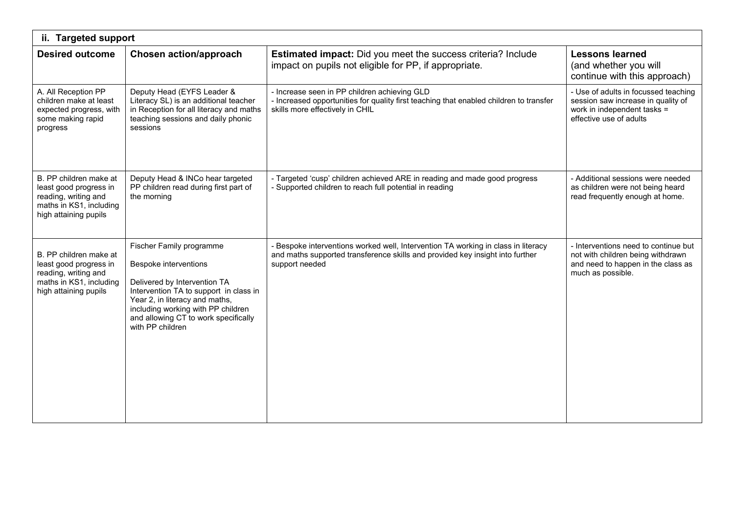| ii. Targeted support                                                                                                         |                                                                                                                                                                                                                                                                        |                                                                                                                                                                                      |                                                                                                                                      |  |  |  |
|------------------------------------------------------------------------------------------------------------------------------|------------------------------------------------------------------------------------------------------------------------------------------------------------------------------------------------------------------------------------------------------------------------|--------------------------------------------------------------------------------------------------------------------------------------------------------------------------------------|--------------------------------------------------------------------------------------------------------------------------------------|--|--|--|
| <b>Desired outcome</b>                                                                                                       | <b>Chosen action/approach</b>                                                                                                                                                                                                                                          | <b>Estimated impact:</b> Did you meet the success criteria? Include<br>impact on pupils not eligible for PP, if appropriate.                                                         | <b>Lessons learned</b><br>(and whether you will<br>continue with this approach)                                                      |  |  |  |
| A. All Reception PP<br>children make at least<br>expected progress, with<br>some making rapid<br>progress                    | Deputy Head (EYFS Leader &<br>Literacy SL) is an additional teacher<br>in Reception for all literacy and maths<br>teaching sessions and daily phonic<br>sessions                                                                                                       | - Increase seen in PP children achieving GLD<br>- Increased opportunities for quality first teaching that enabled children to transfer<br>skills more effectively in CHIL            | - Use of adults in focussed teaching<br>session saw increase in quality of<br>work in independent tasks =<br>effective use of adults |  |  |  |
| B. PP children make at<br>least good progress in<br>reading, writing and<br>maths in KS1, including<br>high attaining pupils | Deputy Head & INCo hear targeted<br>PP children read during first part of<br>the morning                                                                                                                                                                               | - Targeted 'cusp' children achieved ARE in reading and made good progress<br>- Supported children to reach full potential in reading                                                 | - Additional sessions were needed<br>as children were not being heard<br>read frequently enough at home.                             |  |  |  |
| B. PP children make at<br>least good progress in<br>reading, writing and<br>maths in KS1, including<br>high attaining pupils | Fischer Family programme<br><b>Bespoke interventions</b><br>Delivered by Intervention TA<br>Intervention TA to support in class in<br>Year 2, in literacy and maths,<br>including working with PP children<br>and allowing CT to work specifically<br>with PP children | - Bespoke interventions worked well, Intervention TA working in class in literacy<br>and maths supported transference skills and provided key insight into further<br>support needed | - Interventions need to continue but<br>not with children being withdrawn<br>and need to happen in the class as<br>much as possible. |  |  |  |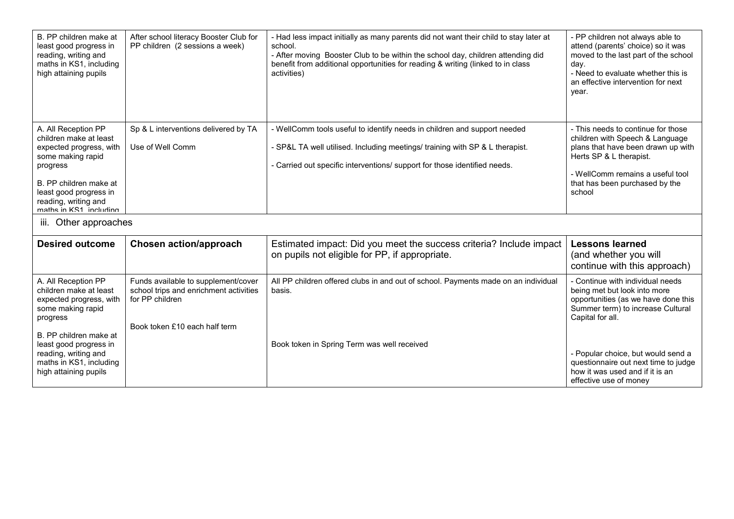| B. PP children make at<br>least good progress in<br>reading, writing and<br>maths in KS1, including<br>high attaining pupils                                                                                    | After school literacy Booster Club for<br>PP children (2 sessions a week)                                                         | - Had less impact initially as many parents did not want their child to stay later at<br>school.<br>- After moving Booster Club to be within the school day, children attending did<br>benefit from additional opportunities for reading & writing (linked to in class<br>activities) | - PP children not always able to<br>attend (parents' choice) so it was<br>moved to the last part of the school<br>day.<br>- Need to evaluate whether this is<br>an effective intervention for next<br>year.            |  |  |  |
|-----------------------------------------------------------------------------------------------------------------------------------------------------------------------------------------------------------------|-----------------------------------------------------------------------------------------------------------------------------------|---------------------------------------------------------------------------------------------------------------------------------------------------------------------------------------------------------------------------------------------------------------------------------------|------------------------------------------------------------------------------------------------------------------------------------------------------------------------------------------------------------------------|--|--|--|
| A. All Reception PP<br>children make at least<br>expected progress, with<br>some making rapid<br>progress<br>B. PP children make at<br>least good progress in<br>reading, writing and<br>mathe in KS1 including | Sp & L interventions delivered by TA<br>Use of Well Comm                                                                          | - WellComm tools useful to identify needs in children and support needed<br>- SP&L TA well utilised. Including meetings/ training with SP & L therapist.<br>- Carried out specific interventions/ support for those identified needs.                                                 | - This needs to continue for those<br>children with Speech & Language<br>plans that have been drawn up with<br>Herts SP & L therapist.<br>- WellComm remains a useful tool<br>that has been purchased by the<br>school |  |  |  |
| Other approaches<br>III.                                                                                                                                                                                        |                                                                                                                                   |                                                                                                                                                                                                                                                                                       |                                                                                                                                                                                                                        |  |  |  |
| <b>Desired outcome</b>                                                                                                                                                                                          | <b>Chosen action/approach</b>                                                                                                     | Estimated impact: Did you meet the success criteria? Include impact<br>on pupils not eligible for PP, if appropriate.                                                                                                                                                                 | <b>Lessons learned</b><br>(and whether you will<br>continue with this approach)                                                                                                                                        |  |  |  |
| A. All Reception PP<br>children make at least<br>expected progress, with<br>some making rapid<br>progress                                                                                                       | Funds available to supplement/cover<br>school trips and enrichment activities<br>for PP children<br>Book token £10 each half term | All PP children offered clubs in and out of school. Payments made on an individual<br>basis.                                                                                                                                                                                          | - Continue with individual needs<br>being met but look into more<br>opportunities (as we have done this<br>Summer term) to increase Cultural<br>Capital for all.                                                       |  |  |  |
| B. PP children make at<br>least good progress in<br>reading, writing and<br>maths in KS1, including<br>high attaining pupils                                                                                    |                                                                                                                                   | Book token in Spring Term was well received                                                                                                                                                                                                                                           | - Popular choice, but would send a<br>questionnaire out next time to judge<br>how it was used and if it is an<br>effective use of money                                                                                |  |  |  |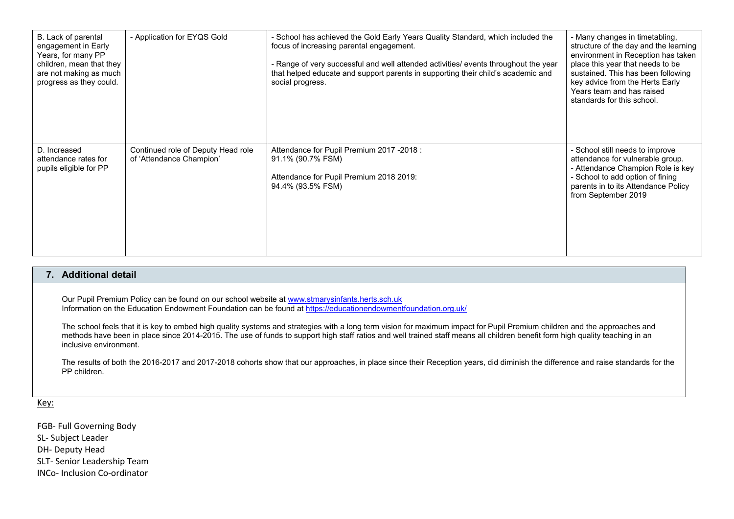| B. Lack of parental<br>engagement in Early<br>Years, for many PP<br>children, mean that they<br>are not making as much<br>progress as they could. | - Application for EYQS Gold                                    | - School has achieved the Gold Early Years Quality Standard, which included the<br>focus of increasing parental engagement.<br>- Range of very successful and well attended activities/ events throughout the year<br>that helped educate and support parents in supporting their child's academic and<br>social progress. | - Many changes in timetabling,<br>structure of the day and the learning<br>environment in Reception has taken<br>place this year that needs to be<br>sustained. This has been following<br>key advice from the Herts Early<br>Years team and has raised<br>standards for this school. |
|---------------------------------------------------------------------------------------------------------------------------------------------------|----------------------------------------------------------------|----------------------------------------------------------------------------------------------------------------------------------------------------------------------------------------------------------------------------------------------------------------------------------------------------------------------------|---------------------------------------------------------------------------------------------------------------------------------------------------------------------------------------------------------------------------------------------------------------------------------------|
| D. Increased<br>attendance rates for<br>pupils eligible for PP                                                                                    | Continued role of Deputy Head role<br>of 'Attendance Champion' | Attendance for Pupil Premium 2017 -2018 :<br>91.1% (90.7% FSM)<br>Attendance for Pupil Premium 2018 2019:<br>94.4% (93.5% FSM)                                                                                                                                                                                             | - School still needs to improve<br>attendance for vulnerable group.<br>- Attendance Champion Role is key<br>- School to add option of fining<br>parents in to its Attendance Policy<br>from September 2019                                                                            |

## **7. Additional detail**

Our Pupil Premium Policy can be found on our school website at <u>www.stmarysinfants.herts.sch.uk</u><br>Information on the Education Endowment Foundation can be found at <u>https://educationendowmentfoundation.org.uk/</u>

The school feels that it is key to embed high quality systems and strategies with a long term vision for maximum impact for Pupil Premium children and the approaches and<br>methods have been in place since 2014-2015. The use inclusive environment.

The results of both the 2016-2017 and 2017-2018 cohorts show that our approaches, in place since their Reception years, did diminish the difference and raise standards for the PP children.

Key:

FGB- Full Governing Body SL- Subject Leader DH- Deputy Head SLT- Senior Leadership Team INCo- Inclusion Co-ordinator